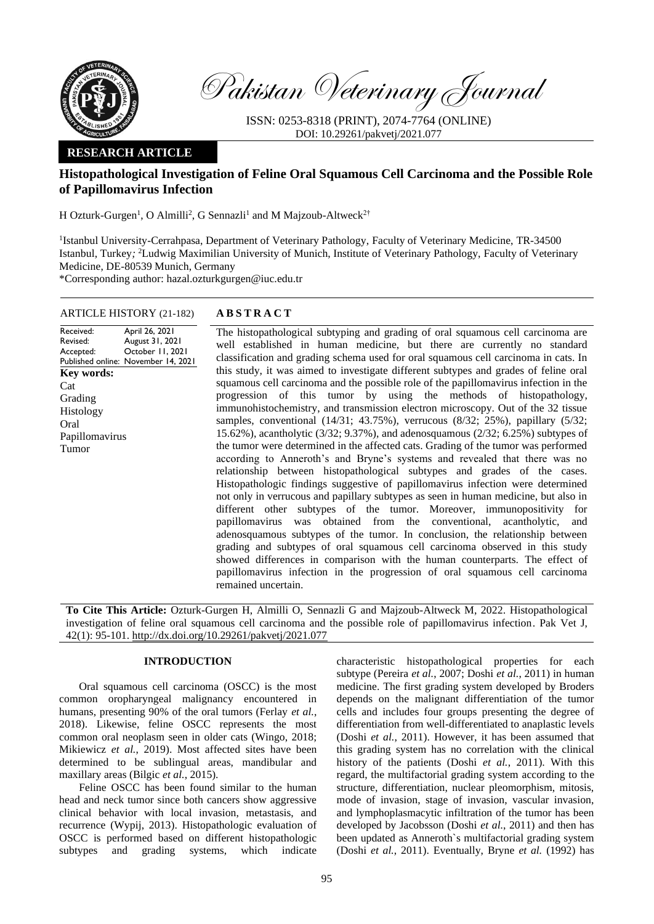

Pakistan Veterinary Journal

ISSN: 0253-8318 (PRINT), 2074-7764 (ONLINE) DOI: 10.29261/pakvetj/2021.077

## **RESEARCH ARTICLE**

# **Histopathological Investigation of Feline Oral Squamous Cell Carcinoma and the Possible Role of Papillomavirus Infection**

H Ozturk-Gurgen<sup>1</sup>, O Almilli<sup>2</sup>, G Sennazli<sup>1</sup> and M Majzoub-Altweck<sup>2†</sup>

<sup>1</sup>Istanbul University-Cerrahpasa, Department of Veterinary Pathology, Faculty of Veterinary Medicine, TR-34500 Istanbul, Turkey*;* <sup>2</sup>Ludwig Maximilian University of Munich, Institute of Veterinary Pathology, Faculty of Veterinary Medicine, DE-80539 Munich, Germany

\*Corresponding author: hazal.ozturkgurgen@iuc.edu.tr

## ARTICLE HISTORY (21-182) **A B S T R A C T**

Received: Revised: Accepted: Published online: November 14, 2021 April 26, 2021 August 31, 2021 October 11, 2021 **Key words:**  Cat Grading Histology Oral Papillomavirus Tumor

The histopathological subtyping and grading of oral squamous cell carcinoma are well established in human medicine, but there are currently no standard classification and grading schema used for oral squamous cell carcinoma in cats. In this study, it was aimed to investigate different subtypes and grades of feline oral squamous cell carcinoma and the possible role of the papillomavirus infection in the progression of this tumor by using the methods of histopathology, immunohistochemistry, and transmission electron microscopy. Out of the 32 tissue samples, conventional (14/31; 43.75%), verrucous (8/32; 25%), papillary (5/32; 15.62%), acantholytic (3/32; 9.37%), and adenosquamous (2/32; 6.25%) subtypes of the tumor were determined in the affected cats. Grading of the tumor was performed according to Anneroth's and Bryne's systems and revealed that there was no relationship between histopathological subtypes and grades of the cases. Histopathologic findings suggestive of papillomavirus infection were determined not only in verrucous and papillary subtypes as seen in human medicine, but also in different other subtypes of the tumor. Moreover, immunopositivity for papillomavirus was obtained from the conventional, acantholytic, and adenosquamous subtypes of the tumor. In conclusion, the relationship between grading and subtypes of oral squamous cell carcinoma observed in this study showed differences in comparison with the human counterparts. The effect of papillomavirus infection in the progression of oral squamous cell carcinoma remained uncertain.

**To Cite This Article:** Ozturk-Gurgen H, Almilli O, Sennazli G and Majzoub-Altweck M, 2022. Histopathological investigation of feline oral squamous cell carcinoma and the possible role of papillomavirus infection. Pak Vet J, 42(1): 95-101. [http://dx.doi.org/10.29261/pakvetj/2021.077](http://pvj.com.pk/pdf-files/42_1/95-101.pdf)

### **INTRODUCTION**

Oral squamous cell carcinoma (OSCC) is the most common oropharyngeal malignancy encountered in humans, presenting 90% of the oral tumors (Ferlay *et al.*, 2018). Likewise, feline OSCC represents the most common oral neoplasm seen in older cats (Wingo, 2018; Mikiewicz *et al.*, 2019). Most affected sites have been determined to be sublingual areas, mandibular and maxillary areas (Bilgic *et al.*, 2015).

Feline OSCC has been found similar to the human head and neck tumor since both cancers show aggressive clinical behavior with local invasion, metastasis, and recurrence (Wypij, 2013). Histopathologic evaluation of OSCC is performed based on different histopathologic subtypes and grading systems, which indicate characteristic histopathological properties for each subtype (Pereira *et al.*, 2007; Doshi *et al.*, 2011) in human medicine. The first grading system developed by Broders depends on the malignant differentiation of the tumor cells and includes four groups presenting the degree of differentiation from well-differentiated to anaplastic levels (Doshi *et al.*, 2011). However, it has been assumed that this grading system has no correlation with the clinical history of the patients (Doshi *et al.*, 2011). With this regard, the multifactorial grading system according to the structure, differentiation, nuclear pleomorphism, mitosis, mode of invasion, stage of invasion, vascular invasion, and lymphoplasmacytic infiltration of the tumor has been developed by Jacobsson (Doshi *et al.*, 2011) and then has been updated as Anneroth`s multifactorial grading system (Doshi *et al.*, 2011). Eventually, Bryne *et al.* (1992) has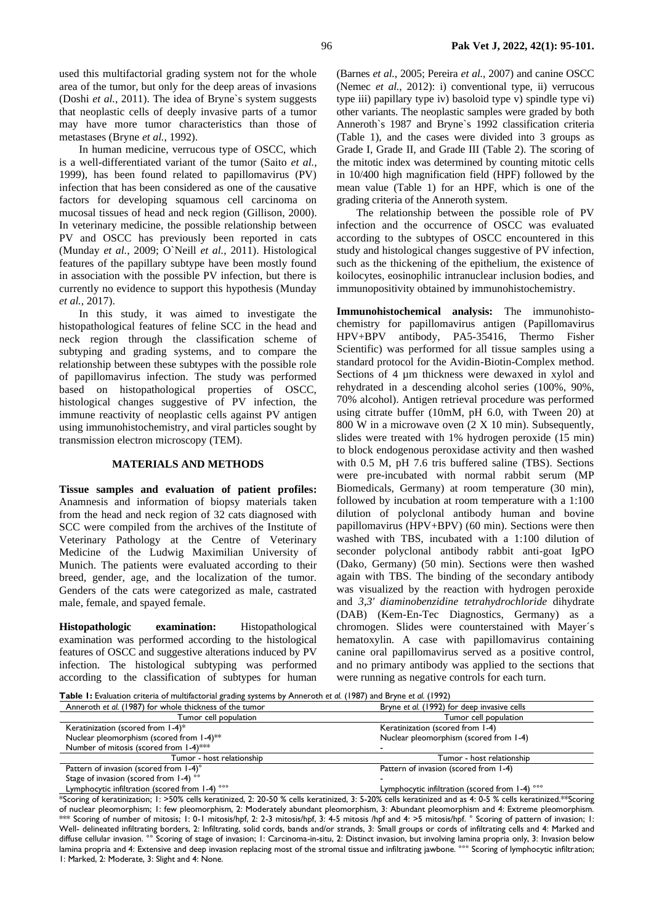used this multifactorial grading system not for the whole area of the tumor, but only for the deep areas of invasions (Doshi *et al.*, 2011). The idea of Bryne`s system suggests that neoplastic cells of deeply invasive parts of a tumor may have more tumor characteristics than those of metastases (Bryne *et al.*, 1992).

In human medicine, verrucous type of OSCC, which is a well-differentiated variant of the tumor (Saito *et al.*, 1999), has been found related to papillomavirus (PV) infection that has been considered as one of the causative factors for developing squamous cell carcinoma on mucosal tissues of head and neck region (Gillison, 2000). In veterinary medicine, the possible relationship between PV and OSCC has previously been reported in cats (Munday *et al.*, 2009; O`Neill *et al.*, 2011). Histological features of the papillary subtype have been mostly found in association with the possible PV infection, but there is currently no evidence to support this hypothesis (Munday *et al.*, 2017).

In this study, it was aimed to investigate the histopathological features of feline SCC in the head and neck region through the classification scheme of subtyping and grading systems, and to compare the relationship between these subtypes with the possible role of papillomavirus infection. The study was performed based on histopathological properties of OSCC, histological changes suggestive of PV infection, the immune reactivity of neoplastic cells against PV antigen using immunohistochemistry, and viral particles sought by transmission electron microscopy (TEM).

### **MATERIALS AND METHODS**

**Tissue samples and evaluation of patient profiles:**  Anamnesis and information of biopsy materials taken from the head and neck region of 32 cats diagnosed with SCC were compiled from the archives of the Institute of Veterinary Pathology at the Centre of Veterinary Medicine of the Ludwig Maximilian University of Munich. The patients were evaluated according to their breed, gender, age, and the localization of the tumor. Genders of the cats were categorized as male, castrated male, female, and spayed female.

**Histopathologic examination:** Histopathological examination was performed according to the histological features of OSCC and suggestive alterations induced by PV infection. The histological subtyping was performed according to the classification of subtypes for human

(Barnes *et al.*, 2005; Pereira *et al.*, 2007) and canine OSCC (Nemec *et al.*, 2012): i) conventional type, ii) verrucous type iii) papillary type iv) basoloid type v) spindle type vi) other variants. The neoplastic samples were graded by both Anneroth`s 1987 and Bryne`s 1992 classification criteria (Table 1), and the cases were divided into 3 groups as Grade I, Grade II, and Grade III (Table 2). The scoring of the mitotic index was determined by counting mitotic cells in 10/400 high magnification field (HPF) followed by the mean value (Table 1) for an HPF, which is one of the grading criteria of the Anneroth system.

The relationship between the possible role of PV infection and the occurrence of OSCC was evaluated according to the subtypes of OSCC encountered in this study and histological changes suggestive of PV infection, such as the thickening of the epithelium, the existence of koilocytes, eosinophilic intranuclear inclusion bodies, and immunopositivity obtained by immunohistochemistry.

**Immunohistochemical analysis:** The immunohistochemistry for papillomavirus antigen (Papillomavirus HPV+BPV antibody, PA5-35416, Thermo Fisher Scientific) was performed for all tissue samples using a standard protocol for the Avidin-Biotin-Complex method. Sections of 4  $\mu$ m thickness were dewaxed in xylol and rehydrated in a descending alcohol series (100%, 90%, 70% alcohol). Antigen retrieval procedure was performed using citrate buffer (10mM, pH 6.0, with Tween 20) at 800 W in a microwave oven (2 X 10 min). Subsequently, slides were treated with 1% hydrogen peroxide (15 min) to block endogenous peroxidase activity and then washed with 0.5 M, pH 7.6 tris buffered saline (TBS). Sections were pre-incubated with normal rabbit serum (MP Biomedicals, Germany) at room temperature (30 min), followed by incubation at room temperature with a 1:100 dilution of polyclonal antibody human and bovine papillomavirus (HPV+BPV) (60 min). Sections were then washed with TBS, incubated with a 1:100 dilution of seconder polyclonal antibody rabbit anti-goat IgPO (Dako, Germany) (50 min). Sections were then washed again with TBS. The binding of the secondary antibody was visualized by the reaction with hydrogen peroxide and *3*,*3' diaminobenzidine tetrahydrochloride* dihydrate (DAB) (Kem-En-Tec Diagnostics, Germany) as a chromogen. Slides were counterstained with Mayer´s hematoxylin. A case with papillomavirus containing canine oral papillomavirus served as a positive control, and no primary antibody was applied to the sections that were running as negative controls for each turn.

**Table 1:** Evaluation criteria of multifactorial grading systems by Anneroth *et al.* (1987) and Bryne *et al.* (1992)

| <b>Table 1:</b> Evaluation chiteria of multilactorial grading systems by runneroun et ul. (1707) and Bryne et ul. (1772) |                                                           |  |  |  |
|--------------------------------------------------------------------------------------------------------------------------|-----------------------------------------------------------|--|--|--|
| Anneroth et al. (1987) for whole thickness of the tumor                                                                  | Bryne et al. (1992) for deep invasive cells               |  |  |  |
| Tumor cell population                                                                                                    | Tumor cell population                                     |  |  |  |
| Keratinization (scored from $1-4$ )*                                                                                     | Keratinization (scored from 1-4)                          |  |  |  |
| Nuclear pleomorphism (scored from $1-4$ ) <sup>**</sup>                                                                  | Nuclear pleomorphism (scored from 1-4)                    |  |  |  |
| Number of mitosis (scored from 1-4)***                                                                                   |                                                           |  |  |  |
| Tumor - host relationship                                                                                                | Tumor - host relationship                                 |  |  |  |
| Pattern of invasion (scored from 1-4)°                                                                                   | Pattern of invasion (scored from 1-4)                     |  |  |  |
| Stage of invasion (scored from 1-4) <sup>oo</sup>                                                                        |                                                           |  |  |  |
| Lymphocytic infiltration (scored from 1-4) °°°                                                                           | Lymphocytic infiltration (scored from 1-4) <sup>ooo</sup> |  |  |  |

\*Scoring of keratinization; 1: >50% cells keratinized, 2: 20-50 % cells keratinized, 3: 5-20% cells keratinized and as 4: 0-5 % cells keratinized.\*\*Scoring of nuclear pleomorphism; 1: few pleomorphism, 2: Moderately abundant pleomorphism, 3: Abundant pleomorphism and 4: Extreme pleomorphism. \*\*\* Scoring of number of mitosis; 1: 0-1 mitosis/hpf, 2: 2-3 mitosis/hpf, 3: 4-5 mitosis /hpf and 4: >5 mitosis/hpf. ° Scoring of pattern of invasion; 1: Well- delineated infiltrating borders, 2: Infiltrating, solid cords, bands and/or strands, 3: Small groups or cords of infiltrating cells and 4: Marked and diffuse cellular invasion. °° Scoring of stage of invasion; 1: Carcinoma-in-situ, 2: Distinct invasion, but involving lamina propria only, 3: Invasion below lamina propria and 4: Extensive and deep invasion replacing most of the stromal tissue and infiltrating jawbone. °°° Scoring of lymphocytic infiltration; 1: Marked, 2: Moderate, 3: Slight and 4: None.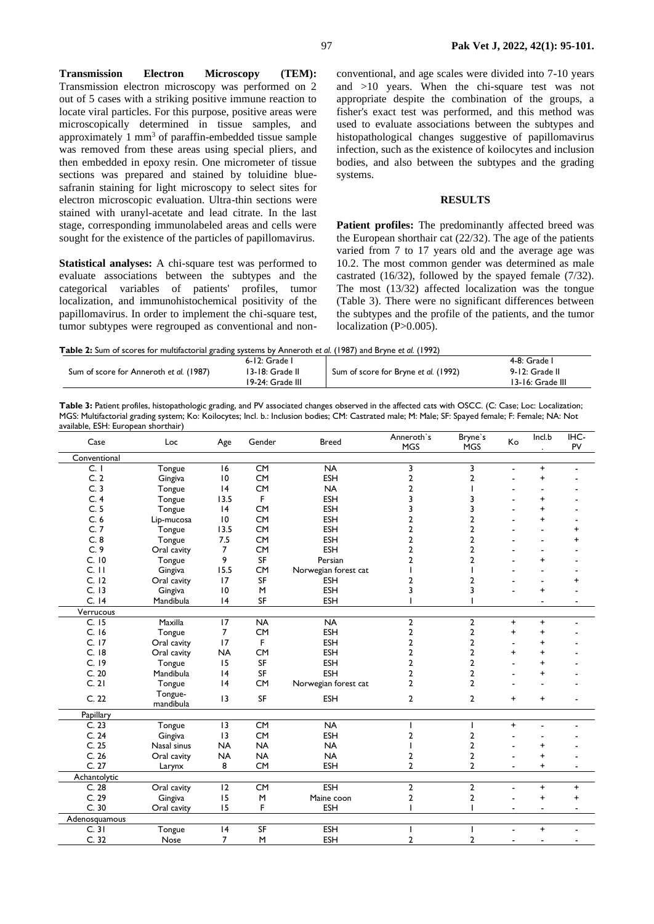**Transmission Electron Microscopy (TEM):**  Transmission electron microscopy was performed on 2 out of 5 cases with a striking positive immune reaction to locate viral particles. For this purpose, positive areas were microscopically determined in tissue samples, and approximately 1 mm<sup>3</sup> of paraffin-embedded tissue sample was removed from these areas using special pliers, and then embedded in epoxy resin. One micrometer of tissue sections was prepared and stained by toluidine bluesafranin staining for light microscopy to select sites for electron microscopic evaluation. Ultra-thin sections were stained with uranyl-acetate and lead citrate. In the last stage, corresponding immunolabeled areas and cells were sought for the existence of the particles of papillomavirus.

**Statistical analyses:** A chi-square test was performed to evaluate associations between the subtypes and the categorical variables of patients' profiles, tumor localization, and immunohistochemical positivity of the papillomavirus. In order to implement the chi-square test, tumor subtypes were regrouped as conventional and nonconventional, and age scales were divided into 7-10 years and >10 years. When the chi-square test was not appropriate despite the combination of the groups, a fisher's exact test was performed, and this method was used to evaluate associations between the subtypes and histopathological changes suggestive of papillomavirus infection, such as the existence of koilocytes and inclusion bodies, and also between the subtypes and the grading systems.

### **RESULTS**

Patient profiles: The predominantly affected breed was the European shorthair cat (22/32). The age of the patients varied from 7 to 17 years old and the average age was 10.2. The most common gender was determined as male castrated (16/32), followed by the spayed female (7/32). The most (13/32) affected localization was the tongue (Table 3). There were no significant differences between the subtypes and the profile of the patients, and the tumor localization (P>0.005).

| Table 2: Sum of scores for multifactorial grading systems by Anneroth et al. (1987) and Bryne et al. (1992) |                    |                                      |                     |  |  |  |  |  |
|-------------------------------------------------------------------------------------------------------------|--------------------|--------------------------------------|---------------------|--|--|--|--|--|
|                                                                                                             | $6-12$ : Grade I   |                                      | 4-8: Grade I        |  |  |  |  |  |
| Sum of score for Anneroth et al. (1987)                                                                     | $13-18$ : Grade II | Sum of score for Bryne et al. (1992) | 9-12: Grade II      |  |  |  |  |  |
|                                                                                                             | 19-24: Grade III   |                                      | $13-16$ : Grade III |  |  |  |  |  |

**Table 3:** Patient profiles, histopathologic grading, and PV associated changes observed in the affected cats with OSCC. (C: Case; Loc: Localization; MGS: Multifactorial grading system; Ko: Koilocytes; Incl. b.: Inclusion bodies; CM: Castrated male; M: Male; SF: Spayed female; F: Female; NA: Not available, ESH: European shorthair)

| Case          | Loc                  | Age            | Gender    | <b>Breed</b>         | Anneroth's<br>MGS | Bryne's<br><b>MGS</b> | Ko             | Incl.b                   | IHC-<br>PV               |
|---------------|----------------------|----------------|-----------|----------------------|-------------------|-----------------------|----------------|--------------------------|--------------------------|
| Conventional  |                      |                |           |                      |                   |                       |                |                          |                          |
| C.1           | Tongue               | 16             | CM        | <b>NA</b>            | 3                 | 3                     | ÷              | $\ddot{}$                | ÷                        |
| C.2           | Gingiva              | 10             | <b>CM</b> | <b>ESH</b>           | 2                 | $\overline{2}$        |                | $\ddot{}$                |                          |
| C.3           | Tongue               | 4              | <b>CM</b> | <b>NA</b>            | $\overline{2}$    |                       |                |                          |                          |
| C.4           | Tongue               | 13.5           | F         | <b>ESH</b>           | 3                 | 3                     |                | $\ddot{}$                |                          |
| C.5           | Tongue               | 4              | <b>CM</b> | <b>ESH</b>           | 3                 | 3                     |                | $\ddot{}$                |                          |
| C.6           | Lip-mucosa           | 10             | <b>CM</b> | <b>ESH</b>           | $\overline{2}$    | 2                     |                | $\ddot{}$                |                          |
| C.7           | Tongue               | 13.5           | <b>CM</b> | <b>ESH</b>           | 2                 | $\overline{2}$        |                | $\overline{a}$           | $\ddot{}$                |
| C.8           | Tongue               | 7.5            | <b>CM</b> | <b>ESH</b>           | $\overline{2}$    | $\overline{2}$        |                |                          | $\ddot{}$                |
| C.9           | Oral cavity          | $\overline{7}$ | <b>CM</b> | <b>ESH</b>           | $\overline{2}$    | $\overline{2}$        |                | $\overline{\phantom{a}}$ |                          |
| C. 10         | Tongue               | 9              | <b>SF</b> | Persian              | $\overline{2}$    | $\overline{2}$        |                | +                        |                          |
| $C.$ $H$      | Gingiva              | 15.5           | <b>CM</b> | Norwegian forest cat |                   |                       |                |                          |                          |
| C. 12         | Oral cavity          | 17             | SF        | <b>ESH</b>           | 2                 | 2                     |                |                          | $\ddot{}$                |
| C. 13         | Gingiva              | 10             | M         | <b>ESH</b>           | 3                 | 3                     |                | $\ddot{}$                |                          |
| C.14          | Mandibula            | 4              | SF        | <b>ESH</b>           |                   |                       |                | $\overline{\phantom{a}}$ |                          |
| Verrucous     |                      |                |           |                      |                   |                       |                |                          |                          |
| C.15          | Maxilla              | 17             | <b>NA</b> | <b>NA</b>            | $\overline{2}$    | $\overline{2}$        | $\ddot{}$      | $\ddot{}$                | $\blacksquare$           |
| C.16          | Tongue               | $\overline{7}$ | <b>CM</b> | <b>ESH</b>           | 2                 | $\overline{2}$        | $\ddot{}$      | $\ddot{}$                |                          |
| C.17          | Oral cavity          | 17             | F         | <b>ESH</b>           | $\overline{2}$    | 2                     |                | $\ddot{}$                |                          |
| C.18          | Oral cavity          | <b>NA</b>      | <b>CM</b> | <b>ESH</b>           | $\overline{2}$    | $\overline{2}$        | $\ddot{}$      | $\ddot{}$                |                          |
| C.19          | Tongue               | 15             | SF        | <b>ESH</b>           | $\overline{2}$    | $\overline{2}$        |                | $+$                      |                          |
| C.20          | Mandibula            | 4              | <b>SF</b> | <b>ESH</b>           | $\overline{2}$    | $\overline{2}$        |                | $\ddot{}$                |                          |
| C.21          | Tongue               | 4              | <b>CM</b> | Norwegian forest cat | $\overline{2}$    | $\overline{2}$        |                |                          |                          |
| C. 22         | Tongue-<br>mandibula | 3              | <b>SF</b> | <b>ESH</b>           | $\overline{2}$    | $\overline{2}$        | $\ddot{}$      | $\ddot{}$                |                          |
| Papillary     |                      |                |           |                      |                   |                       |                |                          |                          |
| C.23          | Tongue               | 13             | CM        | <b>NA</b>            |                   |                       | $+$            |                          |                          |
| C.24          | Gingiva              | 13             | <b>CM</b> | <b>ESH</b>           | 2                 | 2                     |                |                          |                          |
| C.25          | Nasal sinus          | <b>NA</b>      | <b>NA</b> | <b>NA</b>            |                   | 2                     |                | $\ddot{}$                |                          |
| C.26          | Oral cavity          | <b>NA</b>      | <b>NA</b> | <b>NA</b>            | 2                 | 2                     |                | $\ddot{}$                |                          |
| C. 27         | Larynx               | 8              | <b>CM</b> | <b>ESH</b>           | $\overline{2}$    | $\overline{2}$        | $\blacksquare$ | $\ddot{}$                | $\overline{\phantom{a}}$ |
| Achantolytic  |                      |                |           |                      |                   |                       |                |                          |                          |
| C.28          | Oral cavity          | 12             | <b>CM</b> | <b>ESH</b>           | $\overline{2}$    | $\overline{2}$        | $\blacksquare$ | $\ddot{}$                | $+$                      |
| C.29          | Gingiva              | 15             | M         | Maine coon           | 2                 | 2                     |                | $\ddot{}$                | $\ddot{}$                |
| C.30          | Oral cavity          | 15             | F         | <b>ESH</b>           |                   |                       |                | $\overline{a}$           | $\overline{\phantom{a}}$ |
| Adenosquamous |                      |                |           |                      |                   |                       |                |                          |                          |
| C.31          | Tongue               | 4              | SF        | <b>ESH</b>           |                   |                       |                | $\ddot{}$                |                          |
| C.32          | Nose                 | $\overline{7}$ | M         | <b>ESH</b>           | 2                 | $\overline{2}$        | $\blacksquare$ | $\blacksquare$           |                          |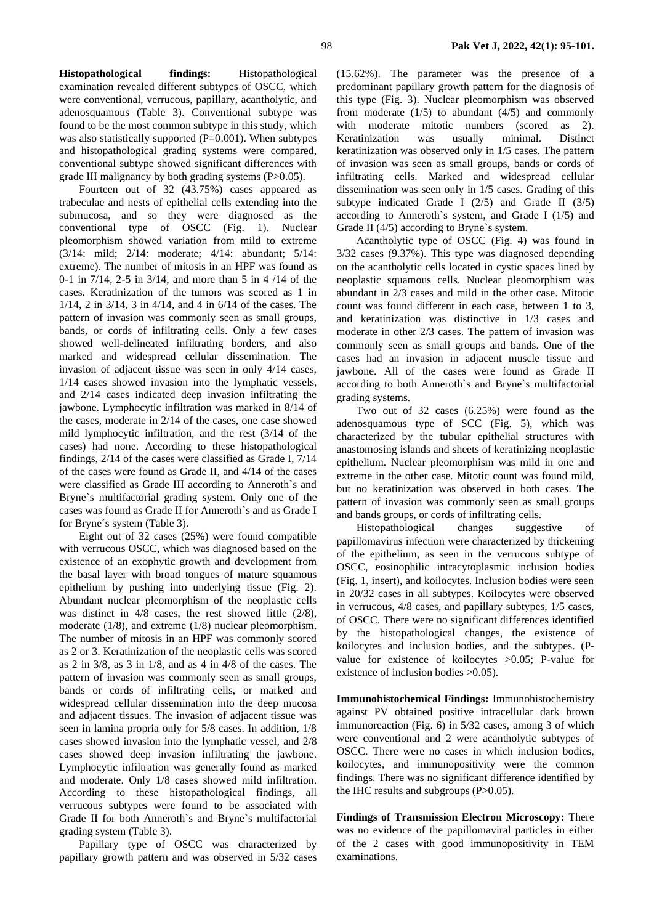**Histopathological findings:** Histopathological examination revealed different subtypes of OSCC, which were conventional, verrucous, papillary, acantholytic, and adenosquamous (Table 3). Conventional subtype was found to be the most common subtype in this study, which was also statistically supported  $(P=0.001)$ . When subtypes and histopathological grading systems were compared, conventional subtype showed significant differences with grade III malignancy by both grading systems (P>0.05).

Fourteen out of 32 (43.75%) cases appeared as trabeculae and nests of epithelial cells extending into the submucosa, and so they were diagnosed as the conventional type of OSCC (Fig. 1). Nuclear pleomorphism showed variation from mild to extreme (3/14: mild; 2/14: moderate; 4/14: abundant; 5/14: extreme). The number of mitosis in an HPF was found as 0-1 in 7/14, 2-5 in 3/14, and more than 5 in 4 /14 of the cases. Keratinization of the tumors was scored as 1 in 1/14, 2 in 3/14, 3 in 4/14, and 4 in 6/14 of the cases. The pattern of invasion was commonly seen as small groups, bands, or cords of infiltrating cells. Only a few cases showed well-delineated infiltrating borders, and also marked and widespread cellular dissemination. The invasion of adjacent tissue was seen in only 4/14 cases, 1/14 cases showed invasion into the lymphatic vessels, and 2/14 cases indicated deep invasion infiltrating the jawbone. Lymphocytic infiltration was marked in 8/14 of the cases, moderate in 2/14 of the cases, one case showed mild lymphocytic infiltration, and the rest (3/14 of the cases) had none. According to these histopathological findings, 2/14 of the cases were classified as Grade I, 7/14 of the cases were found as Grade II, and 4/14 of the cases were classified as Grade III according to Anneroth`s and Bryne`s multifactorial grading system. Only one of the cases was found as Grade II for Anneroth`s and as Grade I for Bryne´s system (Table 3).

Eight out of 32 cases (25%) were found compatible with verrucous OSCC, which was diagnosed based on the existence of an exophytic growth and development from the basal layer with broad tongues of mature squamous epithelium by pushing into underlying tissue (Fig. 2). Abundant nuclear pleomorphism of the neoplastic cells was distinct in 4/8 cases, the rest showed little (2/8), moderate (1/8), and extreme (1/8) nuclear pleomorphism. The number of mitosis in an HPF was commonly scored as 2 or 3. Keratinization of the neoplastic cells was scored as 2 in 3/8, as 3 in 1/8, and as 4 in 4/8 of the cases. The pattern of invasion was commonly seen as small groups, bands or cords of infiltrating cells, or marked and widespread cellular dissemination into the deep mucosa and adjacent tissues. The invasion of adjacent tissue was seen in lamina propria only for 5/8 cases. In addition, 1/8 cases showed invasion into the lymphatic vessel, and 2/8 cases showed deep invasion infiltrating the jawbone. Lymphocytic infiltration was generally found as marked and moderate. Only 1/8 cases showed mild infiltration. According to these histopathological findings, all verrucous subtypes were found to be associated with Grade II for both Anneroth`s and Bryne`s multifactorial grading system (Table 3).

Papillary type of OSCC was characterized by papillary growth pattern and was observed in 5/32 cases (15.62%). The parameter was the presence of a predominant papillary growth pattern for the diagnosis of this type (Fig. 3). Nuclear pleomorphism was observed from moderate  $(1/5)$  to abundant  $(4/5)$  and commonly with moderate mitotic numbers (scored as 2). Keratinization was usually minimal. Distinct keratinization was observed only in 1/5 cases. The pattern of invasion was seen as small groups, bands or cords of infiltrating cells. Marked and widespread cellular dissemination was seen only in 1/5 cases. Grading of this subtype indicated Grade I (2/5) and Grade II (3/5) according to Anneroth`s system, and Grade I (1/5) and Grade II (4/5) according to Bryne`s system.

Acantholytic type of OSCC (Fig. 4) was found in 3/32 cases (9.37%). This type was diagnosed depending on the acantholytic cells located in cystic spaces lined by neoplastic squamous cells. Nuclear pleomorphism was abundant in 2/3 cases and mild in the other case. Mitotic count was found different in each case, between 1 to 3, and keratinization was distinctive in 1/3 cases and moderate in other 2/3 cases. The pattern of invasion was commonly seen as small groups and bands. One of the cases had an invasion in adjacent muscle tissue and jawbone. All of the cases were found as Grade II according to both Anneroth`s and Bryne`s multifactorial grading systems.

Two out of 32 cases (6.25%) were found as the adenosquamous type of SCC (Fig. 5), which was characterized by the tubular epithelial structures with anastomosing islands and sheets of keratinizing neoplastic epithelium. Nuclear pleomorphism was mild in one and extreme in the other case. Mitotic count was found mild, but no keratinization was observed in both cases. The pattern of invasion was commonly seen as small groups and bands groups, or cords of infiltrating cells.

Histopathological changes suggestive of papillomavirus infection were characterized by thickening of the epithelium, as seen in the verrucous subtype of OSCC, eosinophilic intracytoplasmic inclusion bodies (Fig. 1, insert), and koilocytes. Inclusion bodies were seen in 20/32 cases in all subtypes. Koilocytes were observed in verrucous, 4/8 cases, and papillary subtypes, 1/5 cases, of OSCC. There were no significant differences identified by the histopathological changes, the existence of koilocytes and inclusion bodies, and the subtypes. (Pvalue for existence of koilocytes >0.05; P-value for existence of inclusion bodies >0.05).

**Immunohistochemical Findings:** Immunohistochemistry against PV obtained positive intracellular dark brown immunoreaction (Fig. 6) in 5/32 cases, among 3 of which were conventional and 2 were acantholytic subtypes of OSCC. There were no cases in which inclusion bodies, koilocytes, and immunopositivity were the common findings. There was no significant difference identified by the IHC results and subgroups  $(P>0.05)$ .

**Findings of Transmission Electron Microscopy:** There was no evidence of the papillomaviral particles in either of the 2 cases with good immunopositivity in TEM examinations.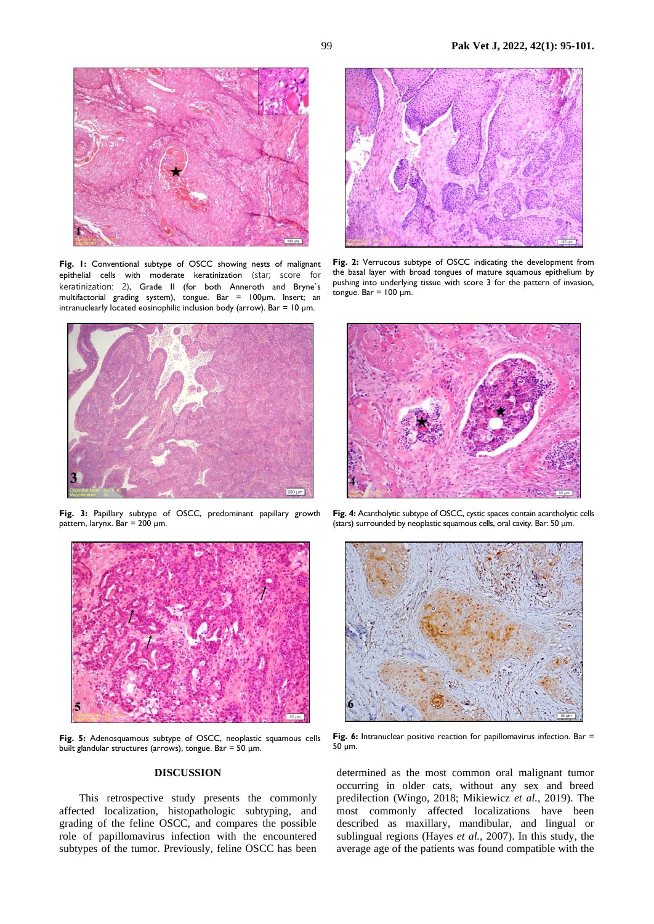

**Fig. 1:** Conventional subtype of OSCC showing nests of malignant epithelial cells with moderate keratinization (star; score for keratinization: 2), Grade II (for both Anneroth and Bryne`s multifactorial grading system), tongue. Bar = 100µm. Insert; an intranuclearly located eosinophilic inclusion body (arrow). Bar = 10 µm.



**Fig. 3:** Papillary subtype of OSCC, predominant papillary growth pattern, larynx. Bar = 200 µm.



**Fig. 5:** Adenosquamous subtype of OSCC, neoplastic squamous cells built glandular structures (arrows), tongue. Bar = 50 μm.

## **DISCUSSION**

This retrospective study presents the commonly affected localization, histopathologic subtyping, and grading of the feline OSCC, and compares the possible role of papillomavirus infection with the encountered subtypes of the tumor. Previously, feline OSCC has been



**Fig. 2:** Verrucous subtype of OSCC indicating the development from the basal layer with broad tongues of mature squamous epithelium by pushing into underlying tissue with score 3 for the pattern of invasion, tongue. Bar = 100 μm.



**Fig. 4:** Acantholytic subtype of OSCC, cystic spaces contain acantholytic cells (stars) surrounded by neoplastic squamous cells, oral cavity. Bar: 50 μm.



Fig. 6: Intranuclear positive reaction for papillomavirus infection. Bar = 50 µm.

determined as the most common oral malignant tumor occurring in older cats, without any sex and breed predilection (Wingo, 2018; Mikiewicz *et al.*, 2019). The most commonly affected localizations have been described as maxillary, mandibular, and lingual or sublingual regions (Hayes *et al.*, 2007). In this study, the average age of the patients was found compatible with the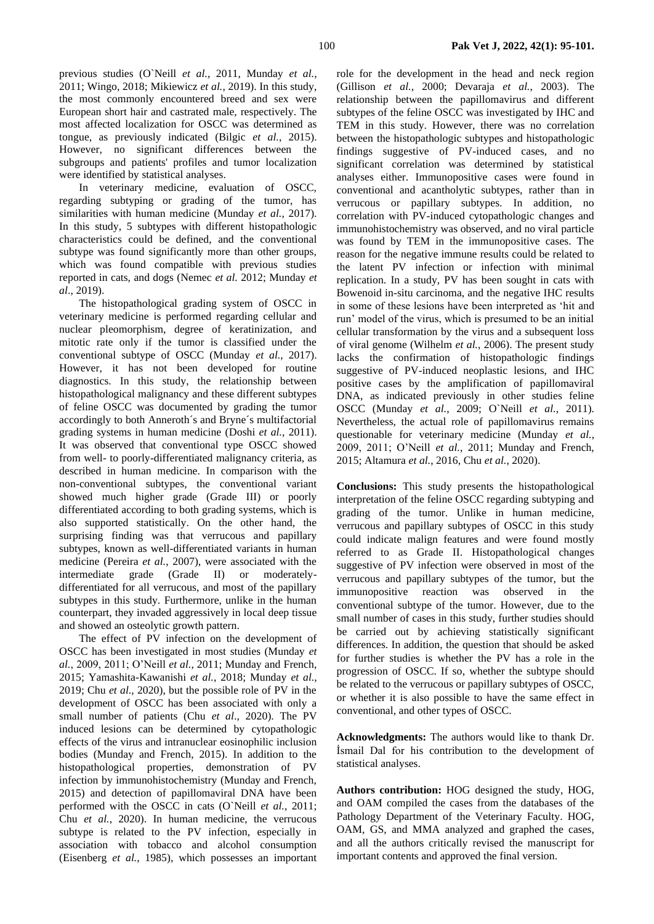previous studies (O`Neill *et al.*, 2011, Munday *et al.*, 2011; Wingo, 2018; Mikiewicz *et al.*, 2019). In this study, the most commonly encountered breed and sex were European short hair and castrated male, respectively. The most affected localization for OSCC was determined as tongue, as previously indicated (Bilgic *et al.*, 2015). However, no significant differences between the subgroups and patients' profiles and tumor localization were identified by statistical analyses.

In veterinary medicine, evaluation of OSCC, regarding subtyping or grading of the tumor, has similarities with human medicine (Munday *et al.*, 2017). In this study, 5 subtypes with different histopathologic characteristics could be defined, and the conventional subtype was found significantly more than other groups, which was found compatible with previous studies reported in cats, and dogs (Nemec *et al.* 2012; Munday *et al*., 2019).

The histopathological grading system of OSCC in veterinary medicine is performed regarding cellular and nuclear pleomorphism, degree of keratinization, and mitotic rate only if the tumor is classified under the conventional subtype of OSCC (Munday *et al.*, 2017). However, it has not been developed for routine diagnostics. In this study, the relationship between histopathological malignancy and these different subtypes of feline OSCC was documented by grading the tumor accordingly to both Anneroth´s and Bryne´s multifactorial grading systems in human medicine (Doshi *et al.*, 2011). It was observed that conventional type OSCC showed from well- to poorly-differentiated malignancy criteria, as described in human medicine. In comparison with the non-conventional subtypes, the conventional variant showed much higher grade (Grade III) or poorly differentiated according to both grading systems, which is also supported statistically. On the other hand, the surprising finding was that verrucous and papillary subtypes, known as well-differentiated variants in human medicine (Pereira *et al.*, 2007), were associated with the intermediate grade (Grade II) or moderatelydifferentiated for all verrucous, and most of the papillary subtypes in this study. Furthermore, unlike in the human counterpart, they invaded aggressively in local deep tissue and showed an osteolytic growth pattern.

The effect of PV infection on the development of OSCC has been investigated in most studies (Munday *et al.*, 2009, 2011; O'Neill *et al.*, 2011; Munday and French, 2015; Yamashita-Kawanishi *et al.*, 2018; Munday *et al.*, 2019; Chu *et al*., 2020), but the possible role of PV in the development of OSCC has been associated with only a small number of patients (Chu *et al*., 2020). The PV induced lesions can be determined by cytopathologic effects of the virus and intranuclear eosinophilic inclusion bodies (Munday and French, 2015). In addition to the histopathological properties, demonstration of PV infection by immunohistochemistry (Munday and French, 2015) and detection of papillomaviral DNA have been performed with the OSCC in cats (O`Neill *et al.*, 2011; Chu *et al.*, 2020). In human medicine, the verrucous subtype is related to the PV infection, especially in association with tobacco and alcohol consumption (Eisenberg *et al.*, 1985), which possesses an important

role for the development in the head and neck region (Gillison *et al.*, 2000; Devaraja *et al.*, 2003). The relationship between the papillomavirus and different subtypes of the feline OSCC was investigated by IHC and TEM in this study. However, there was no correlation between the histopathologic subtypes and histopathologic findings suggestive of PV-induced cases, and no significant correlation was determined by statistical analyses either. Immunopositive cases were found in conventional and acantholytic subtypes, rather than in verrucous or papillary subtypes. In addition, no correlation with PV-induced cytopathologic changes and immunohistochemistry was observed, and no viral particle was found by TEM in the immunopositive cases. The reason for the negative immune results could be related to the latent PV infection or infection with minimal replication. In a study, PV has been sought in cats with Bowenoid in-situ carcinoma, and the negative IHC results in some of these lesions have been interpreted as 'hit and run' model of the virus, which is presumed to be an initial cellular transformation by the virus and a subsequent loss of viral genome (Wilhelm *et al.*, 2006). The present study lacks the confirmation of histopathologic findings suggestive of PV-induced neoplastic lesions, and IHC positive cases by the amplification of papillomaviral DNA, as indicated previously in other studies feline OSCC (Munday *et al.*, 2009; O`Neill *et al.*, 2011). Nevertheless, the actual role of papillomavirus remains questionable for veterinary medicine (Munday *et al.*, 2009, 2011; O'Neill *et al.*, 2011; Munday and French, 2015; Altamura *et al.*, 2016, Chu *et al.*, 2020).

**Conclusions:** This study presents the histopathological interpretation of the feline OSCC regarding subtyping and grading of the tumor. Unlike in human medicine, verrucous and papillary subtypes of OSCC in this study could indicate malign features and were found mostly referred to as Grade II. Histopathological changes suggestive of PV infection were observed in most of the verrucous and papillary subtypes of the tumor, but the immunopositive reaction was observed in the conventional subtype of the tumor. However, due to the small number of cases in this study, further studies should be carried out by achieving statistically significant differences. In addition, the question that should be asked for further studies is whether the PV has a role in the progression of OSCC. If so, whether the subtype should be related to the verrucous or papillary subtypes of OSCC, or whether it is also possible to have the same effect in conventional, and other types of OSCC.

**Acknowledgments:** The authors would like to thank Dr. İsmail Dal for his contribution to the development of statistical analyses.

**Authors contribution:** HOG designed the study, HOG, and OAM compiled the cases from the databases of the Pathology Department of the Veterinary Faculty. HOG, OAM, GS, and MMA analyzed and graphed the cases, and all the authors critically revised the manuscript for important contents and approved the final version.